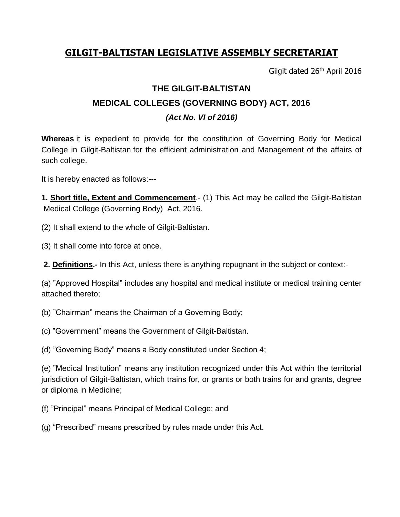## **GILGIT-BALTISTAN LEGISLATIVE ASSEMBLY SECRETARIAT**

Gilgit dated 26<sup>th</sup> April 2016

## **THE GILGIT-BALTISTAN MEDICAL COLLEGES (GOVERNING BODY) ACT, 2016** *(Act No. VI of 2016)*

**Whereas** it is expedient to provide for the constitution of Governing Body for Medical College in Gilgit-Baltistan for the efficient administration and Management of the affairs of such college.

It is hereby enacted as follows:---

**1. Short title, Extent and Commencement**.- (1) This Act may be called the Gilgit-Baltistan Medical College (Governing Body) Act, 2016.

(2) It shall extend to the whole of Gilgit-Baltistan.

(3) It shall come into force at once.

**2. Definitions.-** In this Act, unless there is anything repugnant in the subject or context:-

(a) "Approved Hospital" includes any hospital and medical institute or medical training center attached thereto;

(b) "Chairman" means the Chairman of a Governing Body;

(c) "Government" means the Government of Gilgit-Baltistan.

(d) "Governing Body" means a Body constituted under Section 4;

(e) "Medical Institution" means any institution recognized under this Act within the territorial jurisdiction of Gilgit-Baltistan, which trains for, or grants or both trains for and grants, degree or diploma in Medicine;

(f) "Principal" means Principal of Medical College; and

(g) "Prescribed" means prescribed by rules made under this Act.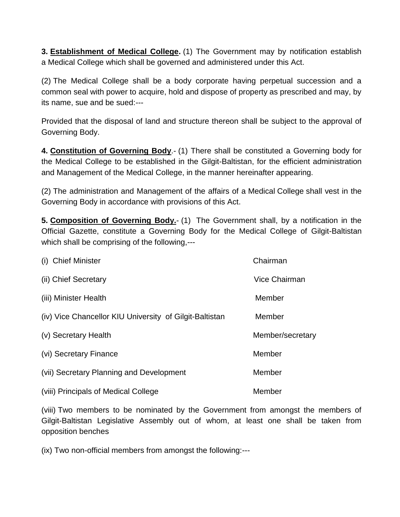**3. Establishment of Medical College.** (1) The Government may by notification establish a Medical College which shall be governed and administered under this Act.

(2) The Medical College shall be a body corporate having perpetual succession and a common seal with power to acquire, hold and dispose of property as prescribed and may, by its name, sue and be sued:---

Provided that the disposal of land and structure thereon shall be subject to the approval of Governing Body.

**4. Constitution of Governing Body**.- (1) There shall be constituted a Governing body for the Medical College to be established in the Gilgit-Baltistan, for the efficient administration and Management of the Medical College, in the manner hereinafter appearing.

(2) The administration and Management of the affairs of a Medical College shall vest in the Governing Body in accordance with provisions of this Act.

**5. Composition of Governing Body.**- (1) The Government shall, by a notification in the Official Gazette, constitute a Governing Body for the Medical College of Gilgit-Baltistan which shall be comprising of the following,---

| (i) Chief Minister                                      | Chairman             |
|---------------------------------------------------------|----------------------|
| (ii) Chief Secretary                                    | <b>Vice Chairman</b> |
| (iii) Minister Health                                   | Member               |
| (iv) Vice Chancellor KIU University of Gilgit-Baltistan | Member               |
| (v) Secretary Health                                    | Member/secretary     |
| (vi) Secretary Finance                                  | Member               |
| (vii) Secretary Planning and Development                | Member               |
| (viii) Principals of Medical College                    | Member               |

(viii) Two members to be nominated by the Government from amongst the members of Gilgit-Baltistan Legislative Assembly out of whom, at least one shall be taken from opposition benches

(ix) Two non-official members from amongst the following:---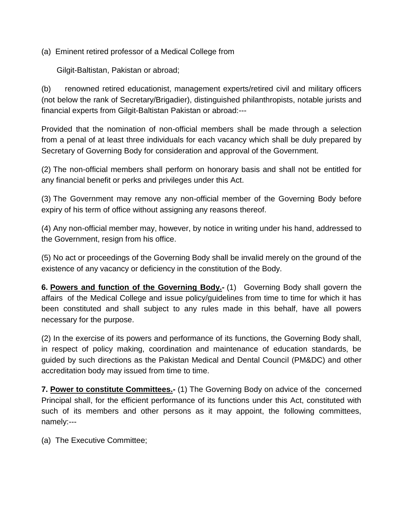(a) Eminent retired professor of a Medical College from

Gilgit-Baltistan, Pakistan or abroad;

(b) renowned retired educationist, management experts/retired civil and military officers (not below the rank of Secretary/Brigadier), distinguished philanthropists, notable jurists and financial experts from Gilgit-Baltistan Pakistan or abroad:---

Provided that the nomination of non-official members shall be made through a selection from a penal of at least three individuals for each vacancy which shall be duly prepared by Secretary of Governing Body for consideration and approval of the Government.

(2) The non-official members shall perform on honorary basis and shall not be entitled for any financial benefit or perks and privileges under this Act.

(3) The Government may remove any non-official member of the Governing Body before expiry of his term of office without assigning any reasons thereof.

(4) Any non-official member may, however, by notice in writing under his hand, addressed to the Government, resign from his office.

(5) No act or proceedings of the Governing Body shall be invalid merely on the ground of the existence of any vacancy or deficiency in the constitution of the Body.

**6. Powers and function of the Governing Body.-** (1) Governing Body shall govern the affairs of the Medical College and issue policy/guidelines from time to time for which it has been constituted and shall subject to any rules made in this behalf, have all powers necessary for the purpose.

(2) In the exercise of its powers and performance of its functions, the Governing Body shall, in respect of policy making, coordination and maintenance of education standards, be guided by such directions as the Pakistan Medical and Dental Council (PM&DC) and other accreditation body may issued from time to time.

**7. Power to constitute Committees.-** (1) The Governing Body on advice of the concerned Principal shall, for the efficient performance of its functions under this Act, constituted with such of its members and other persons as it may appoint, the following committees, namely:---

(a) The Executive Committee;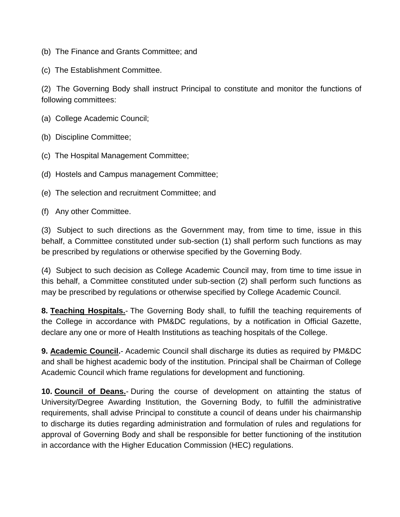- (b) The Finance and Grants Committee; and
- (c) The Establishment Committee.

(2) The Governing Body shall instruct Principal to constitute and monitor the functions of following committees:

- (a) College Academic Council;
- (b) Discipline Committee;
- (c) The Hospital Management Committee;
- (d) Hostels and Campus management Committee;
- (e) The selection and recruitment Committee; and
- (f) Any other Committee.

(3) Subject to such directions as the Government may, from time to time, issue in this behalf, a Committee constituted under sub-section (1) shall perform such functions as may be prescribed by regulations or otherwise specified by the Governing Body.

(4) Subject to such decision as College Academic Council may, from time to time issue in this behalf, a Committee constituted under sub-section (2) shall perform such functions as may be prescribed by regulations or otherwise specified by College Academic Council.

**8. Teaching Hospitals.**- The Governing Body shall, to fulfill the teaching requirements of the College in accordance with PM&DC regulations, by a notification in Official Gazette, declare any one or more of Health Institutions as teaching hospitals of the College.

**9. Academic Council.**- Academic Council shall discharge its duties as required by PM&DC and shall be highest academic body of the institution. Principal shall be Chairman of College Academic Council which frame regulations for development and functioning.

**10. Council of Deans.**- During the course of development on attainting the status of University/Degree Awarding Institution, the Governing Body, to fulfill the administrative requirements, shall advise Principal to constitute a council of deans under his chairmanship to discharge its duties regarding administration and formulation of rules and regulations for approval of Governing Body and shall be responsible for better functioning of the institution in accordance with the Higher Education Commission (HEC) regulations.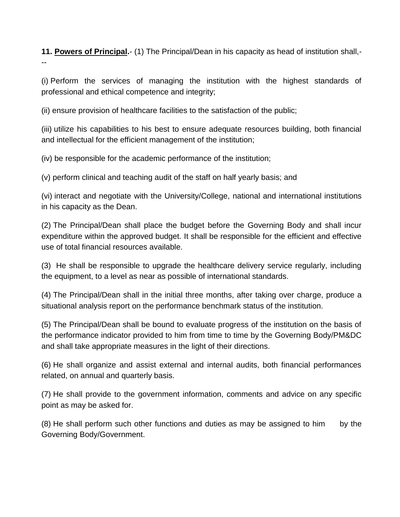**11. Powers of Principal.**- (1) The Principal/Dean in his capacity as head of institution shall,- --

(i) Perform the services of managing the institution with the highest standards of professional and ethical competence and integrity;

(ii) ensure provision of healthcare facilities to the satisfaction of the public;

(iii) utilize his capabilities to his best to ensure adequate resources building, both financial and intellectual for the efficient management of the institution;

(iv) be responsible for the academic performance of the institution;

(v) perform clinical and teaching audit of the staff on half yearly basis; and

(vi) interact and negotiate with the University/College, national and international institutions in his capacity as the Dean.

(2) The Principal/Dean shall place the budget before the Governing Body and shall incur expenditure within the approved budget. It shall be responsible for the efficient and effective use of total financial resources available.

(3) He shall be responsible to upgrade the healthcare delivery service regularly, including the equipment, to a level as near as possible of international standards.

(4) The Principal/Dean shall in the initial three months, after taking over charge, produce a situational analysis report on the performance benchmark status of the institution.

(5) The Principal/Dean shall be bound to evaluate progress of the institution on the basis of the performance indicator provided to him from time to time by the Governing Body/PM&DC and shall take appropriate measures in the light of their directions.

(6) He shall organize and assist external and internal audits, both financial performances related, on annual and quarterly basis.

(7) He shall provide to the government information, comments and advice on any specific point as may be asked for.

(8) He shall perform such other functions and duties as may be assigned to him by the Governing Body/Government.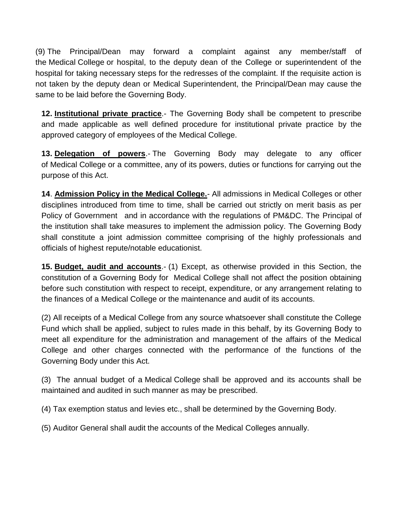(9) The Principal/Dean may forward a complaint against any member/staff of the Medical College or hospital, to the deputy dean of the College or superintendent of the hospital for taking necessary steps for the redresses of the complaint. If the requisite action is not taken by the deputy dean or Medical Superintendent, the Principal/Dean may cause the same to be laid before the Governing Body.

**12. Institutional private practice**.- The Governing Body shall be competent to prescribe and made applicable as well defined procedure for institutional private practice by the approved category of employees of the Medical College.

**13. Delegation of powers**.- The Governing Body may delegate to any officer of Medical College or a committee, any of its powers, duties or functions for carrying out the purpose of this Act.

**14**. **Admission Policy in the Medical College.**- All admissions in Medical Colleges or other disciplines introduced from time to time, shall be carried out strictly on merit basis as per Policy of Government and in accordance with the regulations of PM&DC. The Principal of the institution shall take measures to implement the admission policy. The Governing Body shall constitute a joint admission committee comprising of the highly professionals and officials of highest repute/notable educationist.

**15. Budget, audit and accounts**.- (1) Except, as otherwise provided in this Section, the constitution of a Governing Body for Medical College shall not affect the position obtaining before such constitution with respect to receipt, expenditure, or any arrangement relating to the finances of a Medical College or the maintenance and audit of its accounts.

(2) All receipts of a Medical College from any source whatsoever shall constitute the College Fund which shall be applied, subject to rules made in this behalf, by its Governing Body to meet all expenditure for the administration and management of the affairs of the Medical College and other charges connected with the performance of the functions of the Governing Body under this Act.

(3) The annual budget of a Medical College shall be approved and its accounts shall be maintained and audited in such manner as may be prescribed.

(4) Tax exemption status and levies etc., shall be determined by the Governing Body.

(5) Auditor General shall audit the accounts of the Medical Colleges annually.